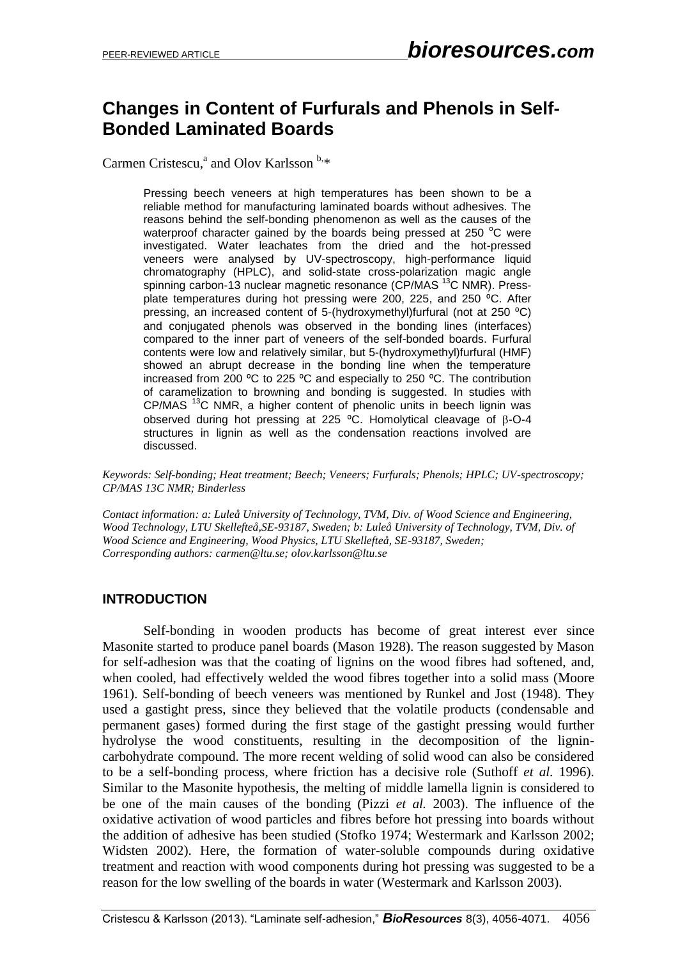# **Changes in Content of Furfurals and Phenols in Self-Bonded Laminated Boards**

Carmen Cristescu,<sup>a</sup> and Olov Karlsson<sup>b,\*</sup>

Pressing beech veneers at high temperatures has been shown to be a reliable method for manufacturing laminated boards without adhesives. The reasons behind the self-bonding phenomenon as well as the causes of the waterproof character gained by the boards being pressed at 250  $\degree$ C were investigated. Water leachates from the dried and the hot-pressed veneers were analysed by UV-spectroscopy, high-performance liquid chromatography (HPLC), and solid-state cross-polarization magic angle spinning carbon-13 nuclear magnetic resonance (CP/MAS<sup>13</sup>C NMR). Pressplate temperatures during hot pressing were 200, 225, and 250 °C. After pressing, an increased content of 5-(hydroxymethyl)furfural (not at 250 °C) and conjugated phenols was observed in the bonding lines (interfaces) compared to the inner part of veneers of the self-bonded boards. Furfural contents were low and relatively similar, but 5-(hydroxymethyl)furfural (HMF) showed an abrupt decrease in the bonding line when the temperature increased from 200 °C to 225 °C and especially to 250 °C. The contribution of caramelization to browning and bonding is suggested. In studies with CP/MAS <sup>13</sup>C NMR, a higher content of phenolic units in beech lignin was observed during hot pressing at 225 °C. Homolytical cleavage of  $\beta$ -O-4 structures in lignin as well as the condensation reactions involved are discussed.

*Keywords: Self-bonding; Heat treatment; Beech; Veneers; Furfurals; Phenols; HPLC; UV-spectroscopy; CP/MAS 13C NMR; Binderless*

*Contact information: a: Luleå University of Technology, TVM, Div. of Wood Science and Engineering, Wood Technology, LTU Skellefteå,SE-93187, Sweden; b: Luleå University of Technology, TVM, Div. of Wood Science and Engineering, Wood Physics, LTU Skellefteå, SE-93187, Sweden; Corresponding authors: carmen@ltu.se; olov.karlsson@ltu.se*

# **INTRODUCTION**

Self-bonding in wooden products has become of great interest ever since Masonite started to produce panel boards (Mason 1928). The reason suggested by Mason for self-adhesion was that the coating of lignins on the wood fibres had softened, and, when cooled, had effectively welded the wood fibres together into a solid mass (Moore 1961). Self-bonding of beech veneers was mentioned by Runkel and Jost (1948). They used a gastight press, since they believed that the volatile products (condensable and permanent gases) formed during the first stage of the gastight pressing would further hydrolyse the wood constituents, resulting in the decomposition of the lignincarbohydrate compound. The more recent welding of solid wood can also be considered to be a self-bonding process, where friction has a decisive role (Suthoff *et al.* 1996). Similar to the Masonite hypothesis, the melting of middle lamella lignin is considered to be one of the main causes of the bonding (Pizzi *et al.* 2003). The influence of the oxidative activation of wood particles and fibres before hot pressing into boards without the addition of adhesive has been studied (Stofko 1974; Westermark and Karlsson 2002; Widsten 2002). Here, the formation of water-soluble compounds during oxidative treatment and reaction with wood components during hot pressing was suggested to be a reason for the low swelling of the boards in water (Westermark and Karlsson 2003).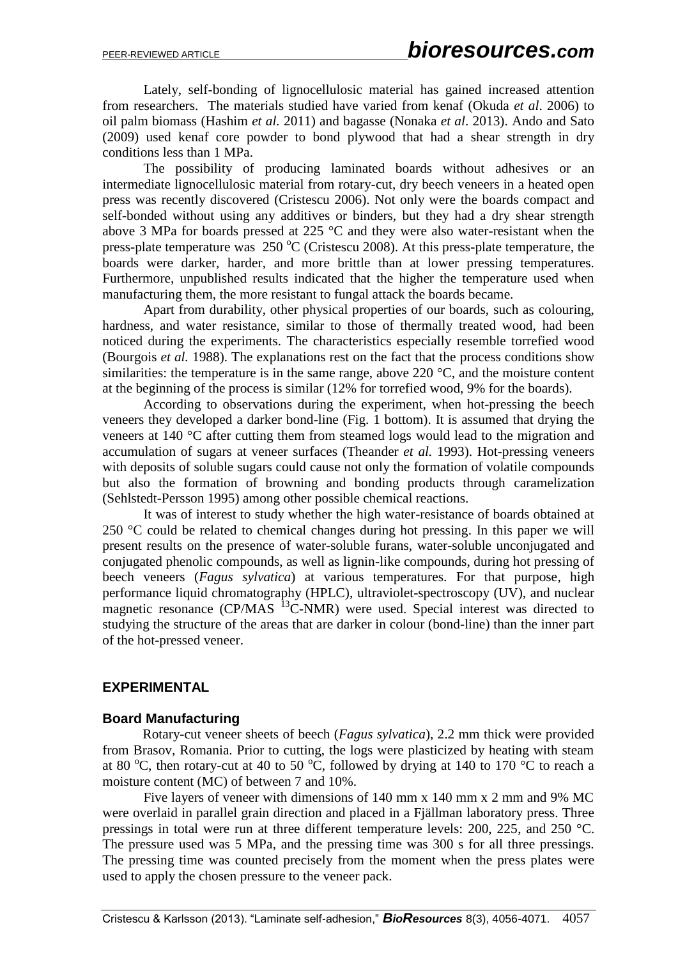Lately, self-bonding of lignocellulosic material has gained increased attention from researchers. The materials studied have varied from kenaf (Okuda *et al*. 2006) to oil palm biomass (Hashim *et al.* 2011) and bagasse (Nonaka *et al*. 2013). Ando and Sato (2009) used kenaf core powder to bond plywood that had a shear strength in dry conditions less than 1 MPa.

The possibility of producing laminated boards without adhesives or an intermediate lignocellulosic material from rotary-cut, dry beech veneers in a heated open press was recently discovered (Cristescu 2006). Not only were the boards compact and self-bonded without using any additives or binders, but they had a dry shear strength above 3 MPa for boards pressed at 225 °C and they were also water-resistant when the press-plate temperature was  $250 \degree C$  (Cristescu 2008). At this press-plate temperature, the boards were darker, harder, and more brittle than at lower pressing temperatures. Furthermore, unpublished results indicated that the higher the temperature used when manufacturing them, the more resistant to fungal attack the boards became.

Apart from durability, other physical properties of our boards, such as colouring, hardness, and water resistance, similar to those of thermally treated wood, had been noticed during the experiments. The characteristics especially resemble torrefied wood (Bourgois *et al.* 1988). The explanations rest on the fact that the process conditions show similarities: the temperature is in the same range, above 220 °C, and the moisture content at the beginning of the process is similar (12% for torrefied wood, 9% for the boards).

According to observations during the experiment, when hot-pressing the beech veneers they developed a darker bond-line (Fig. 1 bottom). It is assumed that drying the veneers at 140 °C after cutting them from steamed logs would lead to the migration and accumulation of sugars at veneer surfaces (Theander *et al.* 1993). Hot-pressing veneers with deposits of soluble sugars could cause not only the formation of volatile compounds but also the formation of browning and bonding products through caramelization (Sehlstedt-Persson 1995) among other possible chemical reactions.

It was of interest to study whether the high water-resistance of boards obtained at 250 °C could be related to chemical changes during hot pressing. In this paper we will present results on the presence of water-soluble furans, water-soluble unconjugated and conjugated phenolic compounds, as well as lignin-like compounds, during hot pressing of beech veneers (*Fagus sylvatica*) at various temperatures. For that purpose, high performance liquid chromatography (HPLC), ultraviolet-spectroscopy (UV), and nuclear magnetic resonance (CP/MAS <sup>13</sup>C-NMR) were used. Special interest was directed to studying the structure of the areas that are darker in colour (bond-line) than the inner part of the hot-pressed veneer.

# **EXPERIMENTAL**

# **Board Manufacturing**

Rotary-cut veneer sheets of beech (*Fagus sylvatica*), 2.2 mm thick were provided from Brasov, Romania. Prior to cutting, the logs were plasticized by heating with steam at 80  $^{\circ}$ C, then rotary-cut at 40 to 50  $^{\circ}$ C, followed by drying at 140 to 170  $^{\circ}$ C to reach a moisture content (MC) of between 7 and 10%.

Five layers of veneer with dimensions of 140 mm x 140 mm x 2 mm and 9% MC were overlaid in parallel grain direction and placed in a Fjällman laboratory press. Three pressings in total were run at three different temperature levels: 200, 225, and 250 °C. The pressure used was 5 MPa, and the pressing time was 300 s for all three pressings. The pressing time was counted precisely from the moment when the press plates were used to apply the chosen pressure to the veneer pack.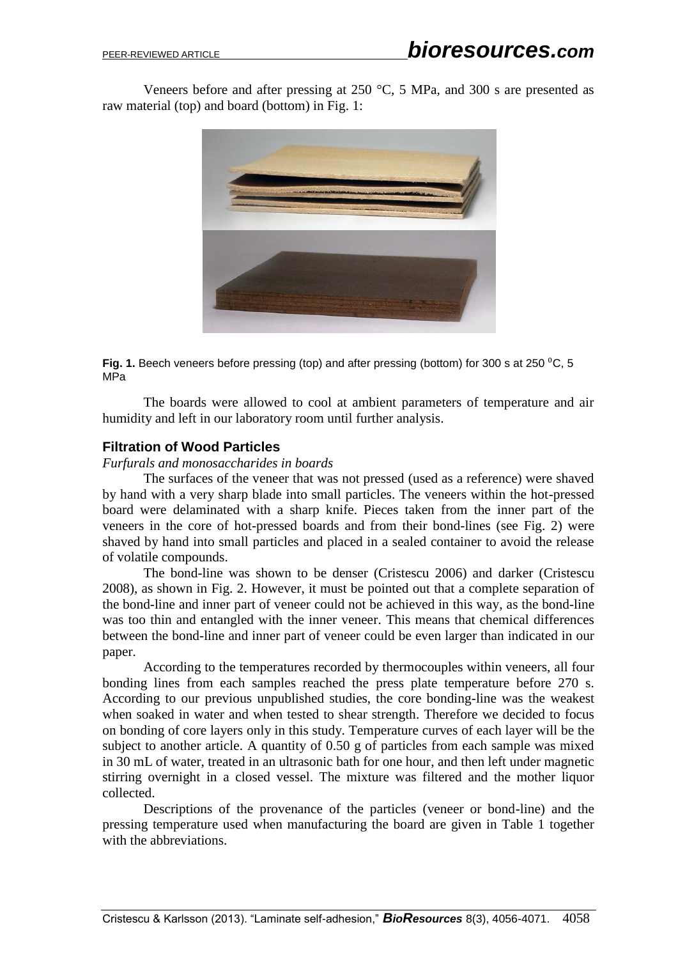Veneers before and after pressing at  $250 \degree C$ , 5 MPa, and 300 s are presented as raw material (top) and board (bottom) in Fig. 1:



**Fig. 1.** Beech veneers before pressing (top) and after pressing (bottom) for 300 s at 250 <sup>o</sup>C, 5 MPa

The boards were allowed to cool at ambient parameters of temperature and air humidity and left in our laboratory room until further analysis.

### **Filtration of Wood Particles**

#### *Furfurals and monosaccharides in boards*

The surfaces of the veneer that was not pressed (used as a reference) were shaved by hand with a very sharp blade into small particles. The veneers within the hot-pressed board were delaminated with a sharp knife. Pieces taken from the inner part of the veneers in the core of hot-pressed boards and from their bond-lines (see Fig. 2) were shaved by hand into small particles and placed in a sealed container to avoid the release of volatile compounds.

The bond-line was shown to be denser (Cristescu 2006) and darker (Cristescu 2008), as shown in Fig. 2. However, it must be pointed out that a complete separation of the bond-line and inner part of veneer could not be achieved in this way, as the bond-line was too thin and entangled with the inner veneer. This means that chemical differences between the bond-line and inner part of veneer could be even larger than indicated in our paper.

According to the temperatures recorded by thermocouples within veneers, all four bonding lines from each samples reached the press plate temperature before 270 s. According to our previous unpublished studies, the core bonding-line was the weakest when soaked in water and when tested to shear strength. Therefore we decided to focus on bonding of core layers only in this study. Temperature curves of each layer will be the subject to another article. A quantity of 0.50 g of particles from each sample was mixed in 30 mL of water, treated in an ultrasonic bath for one hour, and then left under magnetic stirring overnight in a closed vessel. The mixture was filtered and the mother liquor collected.

Descriptions of the provenance of the particles (veneer or bond-line) and the pressing temperature used when manufacturing the board are given in Table 1 together with the abbreviations.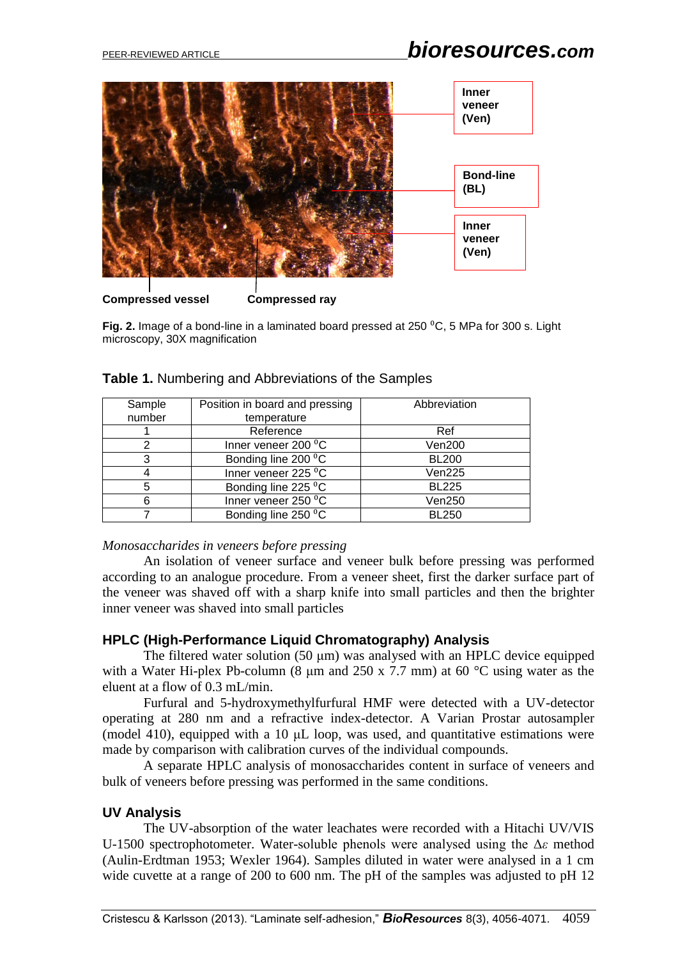

**Fig. 2.** Image of a bond-line in a laminated board pressed at 250 ⁰C, 5 MPa for 300 s. Light microscopy, 30X magnification

| Sample | Position in board and pressing | Abbreviation  |  |
|--------|--------------------------------|---------------|--|
| number | temperature                    |               |  |
|        | Reference                      | Ref           |  |
|        | Inner veneer 200 °C            | Ven200        |  |
| 3      | Bonding line 200 °C            | <b>BL200</b>  |  |
|        | Inner veneer $225\,^0C$        | Ven225        |  |
|        | Bonding line 225 °C            | <b>BL225</b>  |  |
|        | Inner veneer 250 °C            | <b>Ven250</b> |  |
|        | Bonding line 250 °C            | <b>BL250</b>  |  |

| Table 1. Numbering and Abbreviations of the Samples |  |  |
|-----------------------------------------------------|--|--|
|                                                     |  |  |

### *Monosaccharides in veneers before pressing*

An isolation of veneer surface and veneer bulk before pressing was performed according to an analogue procedure. From a veneer sheet, first the darker surface part of the veneer was shaved off with a sharp knife into small particles and then the brighter inner veneer was shaved into small particles

### **HPLC (High-Performance Liquid Chromatography) Analysis**

The filtered water solution (50 μm) was analysed with an HPLC device equipped with a Water Hi-plex Pb-column (8  $\mu$ m and 250 x 7.7 mm) at 60 °C using water as the eluent at a flow of 0.3 mL/min.

Furfural and 5-hydroxymethylfurfural HMF were detected with a UV-detector operating at 280 nm and a refractive index-detector. A Varian Prostar autosampler (model 410), equipped with a 10 μL loop, was used, and quantitative estimations were made by comparison with calibration curves of the individual compounds.

A separate HPLC analysis of monosaccharides content in surface of veneers and bulk of veneers before pressing was performed in the same conditions.

# **UV Analysis**

The UV-absorption of the water leachates were recorded with a Hitachi UV/VIS U-1500 spectrophotometer. Water-soluble phenols were analysed using the Δ*ε* method (Aulin-Erdtman 1953; Wexler 1964). Samples diluted in water were analysed in a 1 cm wide cuvette at a range of 200 to 600 nm. The pH of the samples was adjusted to pH 12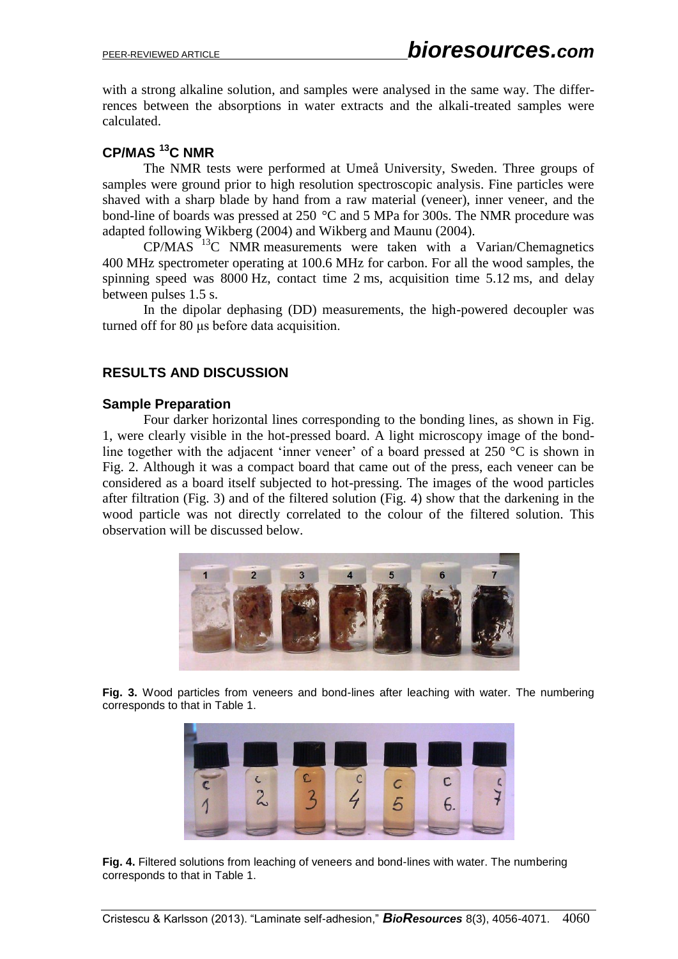with a strong alkaline solution, and samples were analysed in the same way. The differrences between the absorptions in water extracts and the alkali-treated samples were calculated.

# **CP/MAS <sup>13</sup>C NMR**

The NMR tests were performed at Umeå University, Sweden. Three groups of samples were ground prior to high resolution spectroscopic analysis. Fine particles were shaved with a sharp blade by hand from a raw material (veneer), inner veneer, and the bond-line of boards was pressed at 250 °C and 5 MPa for 300s. The NMR procedure was adapted following Wikberg (2004) and Wikberg and Maunu (2004).

 $CP/MAS$ <sup> $13$ </sup>C NMR measurements were taken with a Varian/Chemagnetics 400 MHz spectrometer operating at 100.6 MHz for carbon. For all the wood samples, the spinning speed was 8000 Hz, contact time 2 ms, acquisition time 5.12 ms, and delay between pulses 1.5 s.

In the dipolar dephasing (DD) measurements, the high-powered decoupler was turned off for 80 μs before data acquisition.

# **RESULTS AND DISCUSSION**

# **Sample Preparation**

Four darker horizontal lines corresponding to the bonding lines, as shown in Fig. 1, were clearly visible in the hot-pressed board. A light microscopy image of the bondline together with the adjacent 'inner veneer' of a board pressed at 250 °C is shown in Fig. 2. Although it was a compact board that came out of the press, each veneer can be considered as a board itself subjected to hot-pressing. The images of the wood particles after filtration (Fig. 3) and of the filtered solution (Fig. 4) show that the darkening in the wood particle was not directly correlated to the colour of the filtered solution. This observation will be discussed below.



**Fig. 3.** Wood particles from veneers and bond-lines after leaching with water. The numbering corresponds to that in Table 1.



**Fig. 4.** Filtered solutions from leaching of veneers and bond-lines with water. The numbering corresponds to that in Table 1.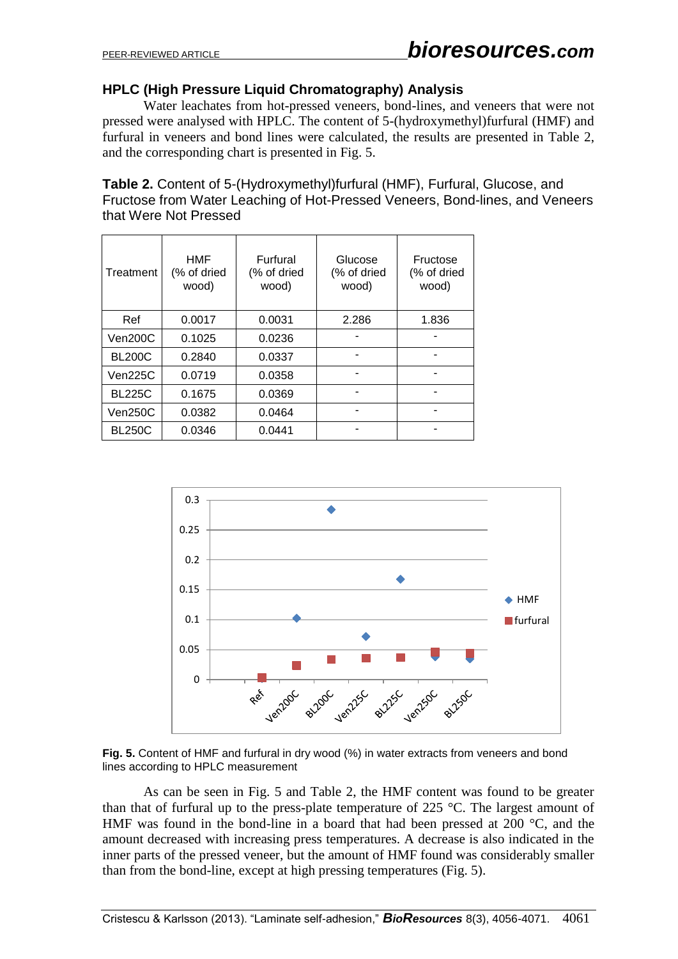# **HPLC (High Pressure Liquid Chromatography) Analysis**

Water leachates from hot-pressed veneers, bond-lines, and veneers that were not pressed were analysed with HPLC. The content of 5-(hydroxymethyl)furfural (HMF) and furfural in veneers and bond lines were calculated, the results are presented in Table 2, and the corresponding chart is presented in Fig. 5.

**Table 2.** Content of 5-(Hydroxymethyl)furfural (HMF), Furfural, Glucose, and Fructose from Water Leaching of Hot-Pressed Veneers, Bond-lines, and Veneers that Were Not Pressed

| Treatment     | <b>HMF</b><br>(% of dried<br>wood) | <b>Furfural</b><br>(% of dried<br>wood) | Glucose<br>(% of dried<br>wood) | Fructose<br>(% of dried<br>wood) |
|---------------|------------------------------------|-----------------------------------------|---------------------------------|----------------------------------|
| Ref           | 0.0017                             | 0.0031                                  | 2.286                           | 1.836                            |
| Ven200C       | 0.1025                             | 0.0236                                  |                                 |                                  |
| <b>BL200C</b> | 0.2840                             | 0.0337                                  |                                 |                                  |
| Ven225C       | 0.0719                             | 0.0358                                  |                                 |                                  |
| <b>BL225C</b> | 0.1675                             | 0.0369                                  |                                 |                                  |
| Ven250C       | 0.0382                             | 0.0464                                  |                                 |                                  |
| <b>BL250C</b> | 0.0346                             | 0.0441                                  |                                 |                                  |





As can be seen in Fig. 5 and Table 2, the HMF content was found to be greater than that of furfural up to the press-plate temperature of 225 °C. The largest amount of HMF was found in the bond-line in a board that had been pressed at 200 °C, and the amount decreased with increasing press temperatures. A decrease is also indicated in the inner parts of the pressed veneer, but the amount of HMF found was considerably smaller than from the bond-line, except at high pressing temperatures (Fig. 5).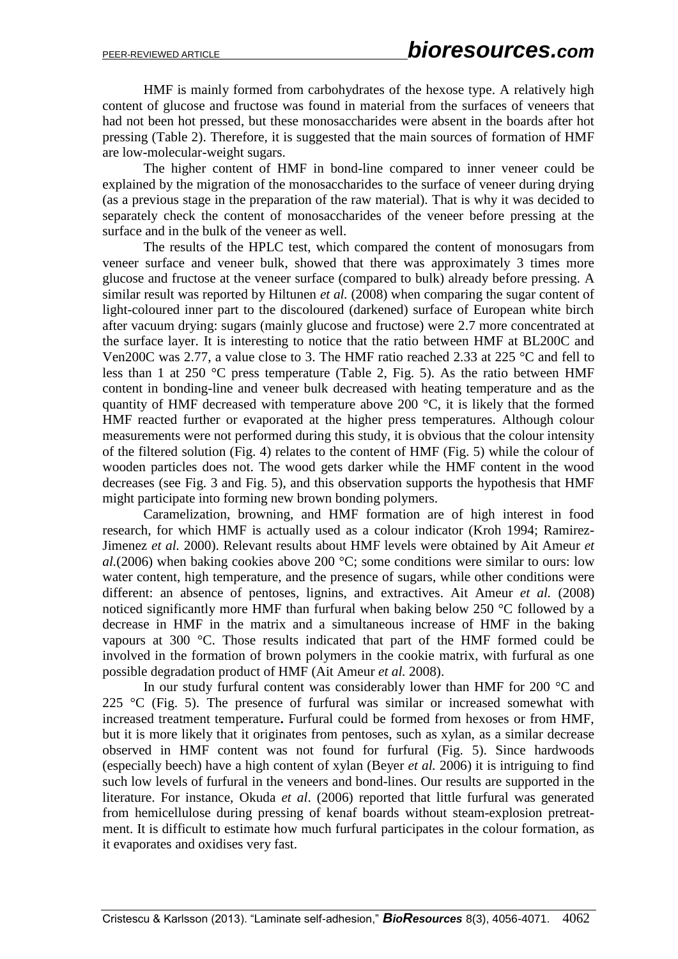HMF is mainly formed from carbohydrates of the hexose type. A relatively high content of glucose and fructose was found in material from the surfaces of veneers that had not been hot pressed, but these monosaccharides were absent in the boards after hot pressing (Table 2). Therefore, it is suggested that the main sources of formation of HMF are low-molecular-weight sugars.

The higher content of HMF in bond-line compared to inner veneer could be explained by the migration of the monosaccharides to the surface of veneer during drying (as a previous stage in the preparation of the raw material). That is why it was decided to separately check the content of monosaccharides of the veneer before pressing at the surface and in the bulk of the veneer as well.

The results of the HPLC test, which compared the content of monosugars from veneer surface and veneer bulk, showed that there was approximately 3 times more glucose and fructose at the veneer surface (compared to bulk) already before pressing. A similar result was reported by Hiltunen *et al.* (2008) when comparing the sugar content of light-coloured inner part to the discoloured (darkened) surface of European white birch after vacuum drying: sugars (mainly glucose and fructose) were 2.7 more concentrated at the surface layer. It is interesting to notice that the ratio between HMF at BL200C and Ven200C was 2.77, a value close to 3. The HMF ratio reached 2.33 at 225 °C and fell to less than 1 at 250 °C press temperature (Table 2, Fig. 5). As the ratio between HMF content in bonding-line and veneer bulk decreased with heating temperature and as the quantity of HMF decreased with temperature above 200 °C, it is likely that the formed HMF reacted further or evaporated at the higher press temperatures. Although colour measurements were not performed during this study, it is obvious that the colour intensity of the filtered solution (Fig. 4) relates to the content of HMF (Fig. 5) while the colour of wooden particles does not. The wood gets darker while the HMF content in the wood decreases (see Fig. 3 and Fig. 5), and this observation supports the hypothesis that HMF might participate into forming new brown bonding polymers.

Caramelization, browning, and HMF formation are of high interest in food research, for which HMF is actually used as a colour indicator (Kroh 1994; Ramirez-Jimenez *et al.* 2000). Relevant results about HMF levels were obtained by Ait Ameur *et al.*(2006) when baking cookies above 200 °C; some conditions were similar to ours: low water content, high temperature, and the presence of sugars, while other conditions were different: an absence of pentoses, lignins, and extractives. Ait Ameur *et al.* (2008) noticed significantly more HMF than furfural when baking below 250 °C followed by a decrease in HMF in the matrix and a simultaneous increase of HMF in the baking vapours at 300 °C. Those results indicated that part of the HMF formed could be involved in the formation of brown polymers in the cookie matrix, with furfural as one possible degradation product of HMF (Ait Ameur *et al.* 2008).

In our study furfural content was considerably lower than HMF for 200 °C and 225  $\degree$ C (Fig. 5). The presence of furfural was similar or increased somewhat with increased treatment temperature**.** Furfural could be formed from hexoses or from HMF, but it is more likely that it originates from pentoses, such as xylan, as a similar decrease observed in HMF content was not found for furfural (Fig. 5). Since hardwoods (especially beech) have a high content of xylan (Beyer *et al.* 2006) it is intriguing to find such low levels of furfural in the veneers and bond-lines. Our results are supported in the literature. For instance, Okuda *et al*. (2006) reported that little furfural was generated from hemicellulose during pressing of kenaf boards without steam-explosion pretreatment. It is difficult to estimate how much furfural participates in the colour formation, as it evaporates and oxidises very fast.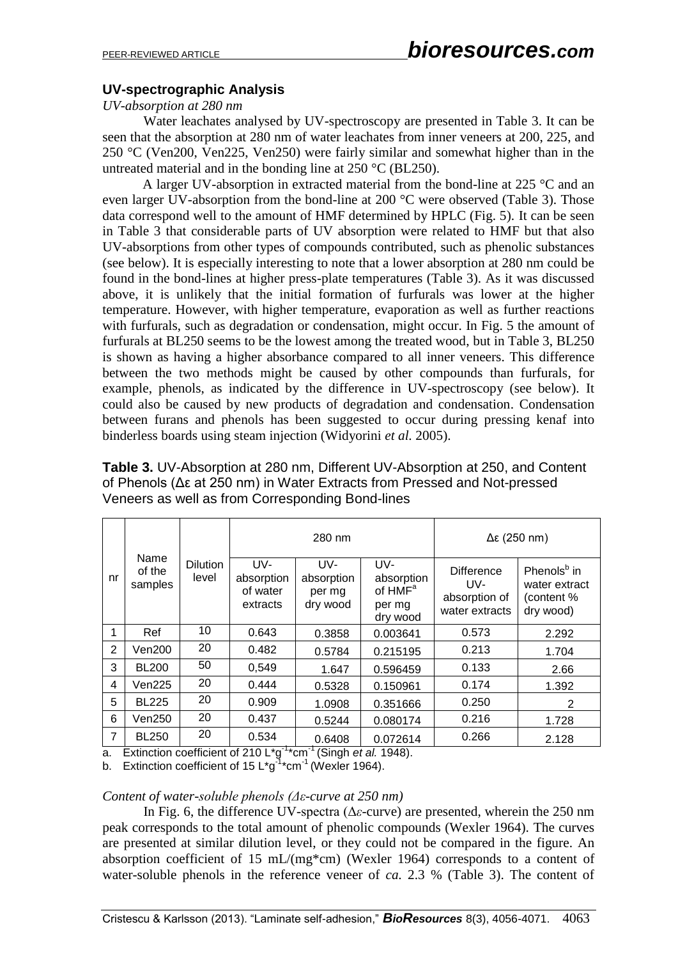# **UV-spectrographic Analysis**

#### *UV-absorption at 280 nm*

Water leachates analysed by UV-spectroscopy are presented in Table 3. It can be seen that the absorption at 280 nm of water leachates from inner veneers at 200, 225, and 250 °C (Ven200, Ven225, Ven250) were fairly similar and somewhat higher than in the untreated material and in the bonding line at 250 °C (BL250).

A larger UV-absorption in extracted material from the bond-line at 225 °C and an even larger UV-absorption from the bond-line at 200 °C were observed (Table 3). Those data correspond well to the amount of HMF determined by HPLC (Fig. 5). It can be seen in Table 3 that considerable parts of UV absorption were related to HMF but that also UV-absorptions from other types of compounds contributed, such as phenolic substances (see below). It is especially interesting to note that a lower absorption at 280 nm could be found in the bond-lines at higher press-plate temperatures (Table 3). As it was discussed above, it is unlikely that the initial formation of furfurals was lower at the higher temperature. However, with higher temperature, evaporation as well as further reactions with furfurals, such as degradation or condensation, might occur. In Fig. 5 the amount of furfurals at BL250 seems to be the lowest among the treated wood, but in Table 3, BL250 is shown as having a higher absorbance compared to all inner veneers. This difference between the two methods might be caused by other compounds than furfurals, for example, phenols, as indicated by the difference in UV-spectroscopy (see below). It could also be caused by new products of degradation and condensation. Condensation between furans and phenols has been suggested to occur during pressing kenaf into binderless boards using steam injection (Widyorini *et al.* 2005).

|                |                           |                          | 280 nm                                    |                                         | $Δε$ (250 nm)                                                  |                                                             |                                                                     |
|----------------|---------------------------|--------------------------|-------------------------------------------|-----------------------------------------|----------------------------------------------------------------|-------------------------------------------------------------|---------------------------------------------------------------------|
| nr             | Name<br>of the<br>samples | <b>Dilution</b><br>level | UV-<br>absorption<br>of water<br>extracts | UV-<br>absorption<br>per mg<br>dry wood | UV-<br>absorption<br>of HMF <sup>a</sup><br>per mg<br>dry wood | <b>Difference</b><br>UV-<br>absorption of<br>water extracts | Phenols <sup>b</sup> in<br>water extract<br>(content %<br>dry wood) |
| 1              | Ref                       | 10                       | 0.643                                     | 0.3858                                  | 0.003641                                                       | 0.573                                                       | 2.292                                                               |
| 2              | Ven200                    | 20                       | 0.482                                     | 0.5784                                  | 0.215195                                                       | 0.213                                                       | 1.704                                                               |
| 3              | <b>BL200</b>              | 50                       | 0,549                                     | 1.647                                   | 0.596459                                                       | 0.133                                                       | 2.66                                                                |
| $\overline{4}$ | Ven225                    | 20                       | 0.444                                     | 0.5328                                  | 0.150961                                                       | 0.174                                                       | 1.392                                                               |
| 5              | <b>BL225</b>              | 20                       | 0.909                                     | 1.0908                                  | 0.351666                                                       | 0.250                                                       | 2                                                                   |
| 6              | Ven250                    | 20                       | 0.437                                     | 0.5244                                  | 0.080174                                                       | 0.216                                                       | 1.728                                                               |
| 7              | <b>BL250</b>              | 20                       | 0.534                                     | 0.6408                                  | 0.072614                                                       | 0.266                                                       | 2.128                                                               |

**Table 3.** UV-Absorption at 280 nm, Different UV-Absorption at 250, and Content of Phenols (Δε at 250 nm) in Water Extracts from Pressed and Not-pressed Veneers as well as from Corresponding Bond-lines

a. Extinction coefficient of 210 L<sup>\*</sup>g<sup>-1\*</sup>cm<sup>-1</sup> (Singh *et al.* 1948).

b. Extinction coefficient of 15 L\*g<sup>-1</sup>\*cm<sup>-1</sup> (Wexler 1964).

### *Content of water-soluble phenols (Δε-curve at 250 nm)*

In Fig. 6, the difference UV-spectra (Δ*ε*-curve) are presented, wherein the 250 nm peak corresponds to the total amount of phenolic compounds (Wexler 1964). The curves are presented at similar dilution level, or they could not be compared in the figure. An absorption coefficient of 15 mL/(mg\*cm) (Wexler 1964) corresponds to a content of water-soluble phenols in the reference veneer of *ca.* 2.3 % (Table 3). The content of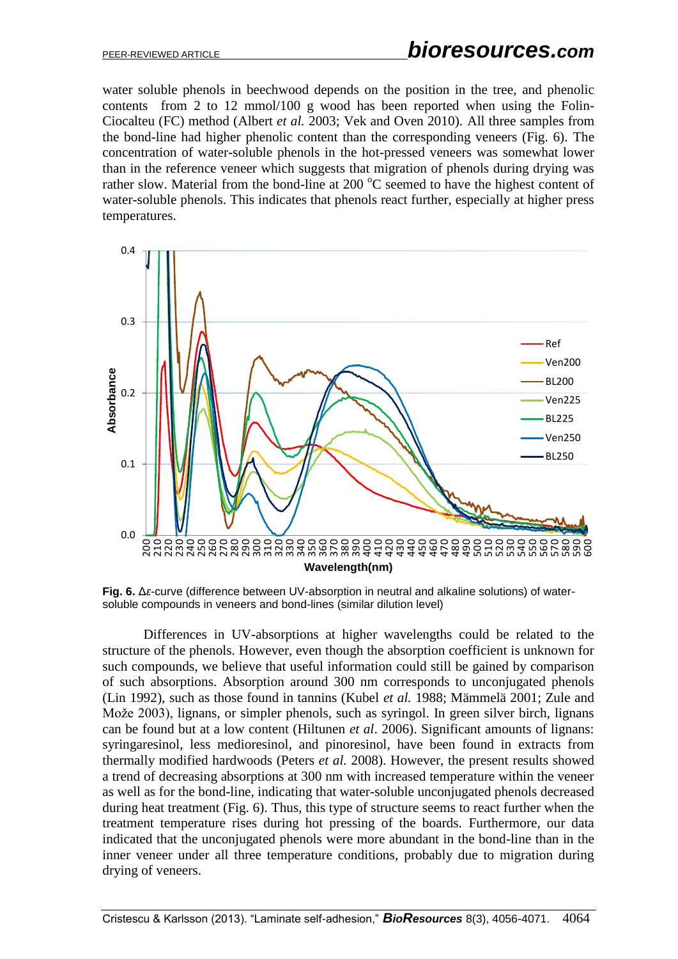water soluble phenols in beechwood depends on the position in the tree, and phenolic contents from 2 to 12 mmol/100 g wood has been reported when using the Folin-Ciocalteu (FC) method (Albert *et al.* 2003; Vek and Oven 2010). All three samples from the bond-line had higher phenolic content than the corresponding veneers (Fig. 6). The concentration of water-soluble phenols in the hot-pressed veneers was somewhat lower than in the reference veneer which suggests that migration of phenols during drying was rather slow. Material from the bond-line at  $200\degree$ C seemed to have the highest content of water-soluble phenols. This indicates that phenols react further, especially at higher press temperatures.



**Fig. 6.** Δ*ε*-curve (difference between UV-absorption in neutral and alkaline solutions) of watersoluble compounds in veneers and bond-lines (similar dilution level)

Differences in UV-absorptions at higher wavelengths could be related to the structure of the phenols. However, even though the absorption coefficient is unknown for such compounds, we believe that useful information could still be gained by comparison of such absorptions. Absorption around 300 nm corresponds to unconjugated phenols (Lin 1992), such as those found in tannins (Kubel *et al.* 1988; Mämmelä 2001; Zule and Može 2003), lignans, or simpler phenols, such as syringol. In green silver birch, lignans can be found but at a low content (Hiltunen *et al*. 2006). Significant amounts of lignans: syringaresinol, less medioresinol, and pinoresinol, have been found in extracts from thermally modified hardwoods (Peters *et al.* 2008). However, the present results showed a trend of decreasing absorptions at 300 nm with increased temperature within the veneer as well as for the bond-line, indicating that water-soluble unconjugated phenols decreased during heat treatment (Fig. 6). Thus, this type of structure seems to react further when the treatment temperature rises during hot pressing of the boards. Furthermore, our data indicated that the unconjugated phenols were more abundant in the bond-line than in the inner veneer under all three temperature conditions, probably due to migration during drying of veneers.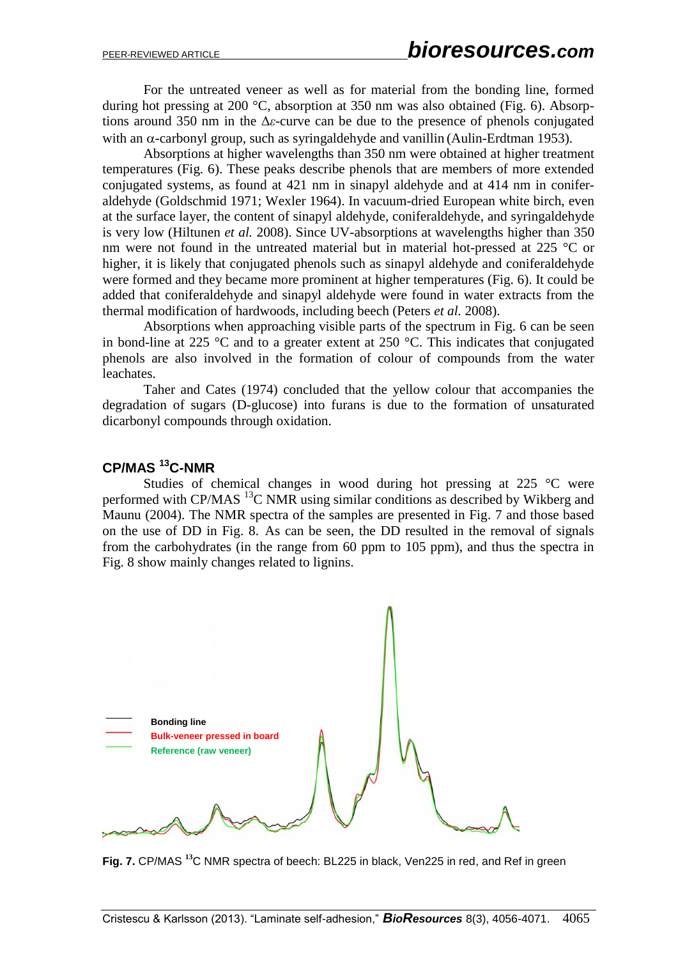For the untreated veneer as well as for material from the bonding line, formed during hot pressing at 200 °C, absorption at 350 nm was also obtained (Fig. 6). Absorptions around 350 nm in the Δ*ε*-curve can be due to the presence of phenols conjugated with an  $\alpha$ -carbonyl group, such as syringaldehyde and vanillin (Aulin-Erdtman 1953).

Absorptions at higher wavelengths than 350 nm were obtained at higher treatment temperatures (Fig. 6). These peaks describe phenols that are members of more extended conjugated systems, as found at 421 nm in sinapyl aldehyde and at 414 nm in coniferaldehyde (Goldschmid 1971; Wexler 1964). In vacuum-dried European white birch, even at the surface layer, the content of sinapyl aldehyde, coniferaldehyde, and syringaldehyde is very low (Hiltunen *et al.* 2008). Since UV-absorptions at wavelengths higher than 350 nm were not found in the untreated material but in material hot-pressed at 225 °C or higher, it is likely that conjugated phenols such as sinapyl aldehyde and coniferaldehyde were formed and they became more prominent at higher temperatures (Fig. 6). It could be added that coniferaldehyde and sinapyl aldehyde were found in water extracts from the thermal modification of hardwoods, including beech (Peters *et al.* 2008).

Absorptions when approaching visible parts of the spectrum in Fig. 6 can be seen in bond-line at 225  $\degree$ C and to a greater extent at 250  $\degree$ C. This indicates that conjugated phenols are also involved in the formation of colour of compounds from the water leachates.

Taher and Cates (1974) concluded that the yellow colour that accompanies the degradation of sugars (D-glucose) into furans is due to the formation of unsaturated dicarbonyl compounds through oxidation.

# **CP/MAS <sup>13</sup>C-NMR**

Studies of chemical changes in wood during hot pressing at 225 °C were performed with CP/MAS  $^{13}$ C NMR using similar conditions as described by Wikberg and Maunu (2004). The NMR spectra of the samples are presented in Fig. 7 and those based on the use of DD in Fig. 8. As can be seen, the DD resulted in the removal of signals from the carbohydrates (in the range from 60 ppm to 105 ppm), and thus the spectra in Fig. 8 show mainly changes related to lignins.



**Fig. 7.** CP/MAS **<sup>13</sup>**C NMR spectra of beech: BL225 in black, Ven225 in red, and Ref in green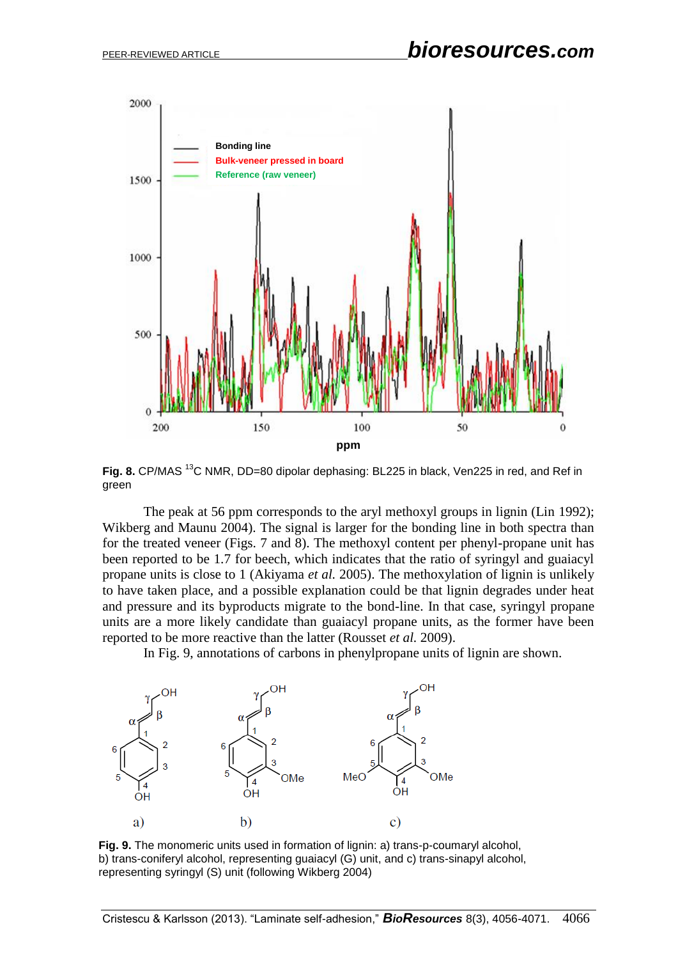

**Fig. 8.** CP/MAS <sup>13</sup>C NMR, DD=80 dipolar dephasing: BL225 in black, Ven225 in red, and Ref in green

The peak at 56 ppm corresponds to the aryl methoxyl groups in lignin (Lin 1992); Wikberg and Maunu 2004). The signal is larger for the bonding line in both spectra than for the treated veneer (Figs. 7 and 8). The methoxyl content per phenyl-propane unit has been reported to be 1.7 for beech, which indicates that the ratio of syringyl and guaiacyl propane units is close to 1 (Akiyama *et al.* 2005). The methoxylation of lignin is unlikely to have taken place, and a possible explanation could be that lignin degrades under heat and pressure and its byproducts migrate to the bond-line. In that case, syringyl propane units are a more likely candidate than guaiacyl propane units, as the former have been reported to be more reactive than the latter (Rousset *et al.* 2009).

In Fig. 9, annotations of carbons in phenylpropane units of lignin are shown.



**Fig. 9.** The monomeric units used in formation of lignin: a) trans-p-coumaryl alcohol, b) trans-coniferyl alcohol, representing guaiacyl (G) unit, and c) trans-sinapyl alcohol, representing syringyl (S) unit (following Wikberg 2004)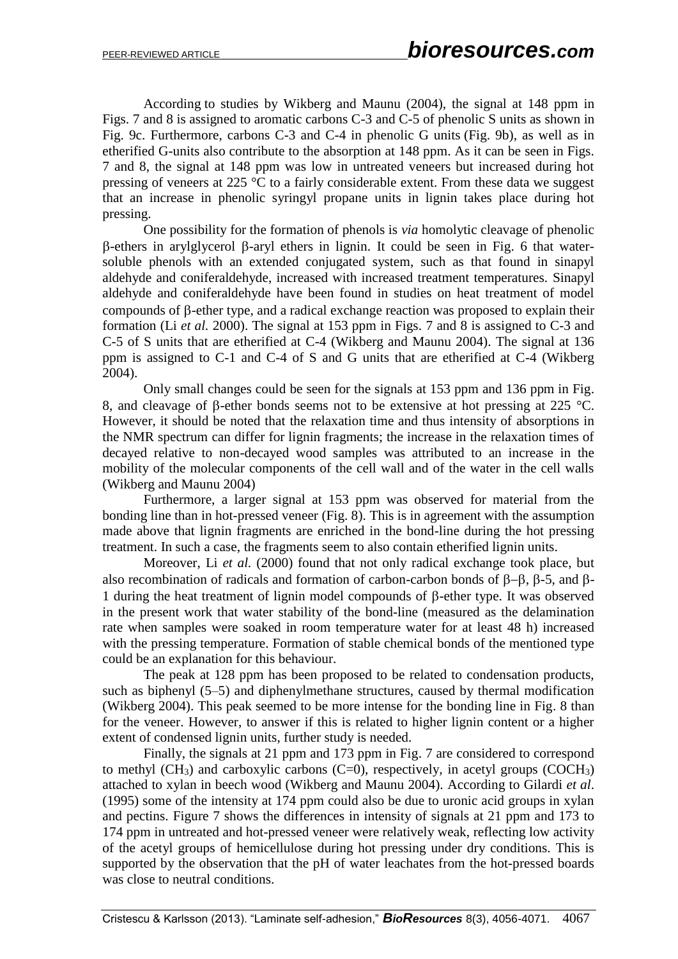According to studies by Wikberg and Maunu (2004), the signal at 148 ppm in Figs. 7 and 8 is assigned to aromatic carbons C-3 and C-5 of phenolic S units as shown in Fig. 9c. Furthermore, carbons C-3 and C-4 in phenolic G units (Fig. 9b), as well as in etherified G-units also contribute to the absorption at 148 ppm. As it can be seen in Figs. 7 and 8, the signal at 148 ppm was low in untreated veneers but increased during hot pressing of veneers at 225 °C to a fairly considerable extent. From these data we suggest that an increase in phenolic syringyl propane units in lignin takes place during hot pressing.

One possibility for the formation of phenols is *via* homolytic cleavage of phenolic  $\beta$ -ethers in arylglycerol  $\beta$ -aryl ethers in lignin. It could be seen in Fig. 6 that watersoluble phenols with an extended conjugated system, such as that found in sinapyl aldehyde and coniferaldehyde, increased with increased treatment temperatures. Sinapyl aldehyde and coniferaldehyde have been found in studies on heat treatment of model compounds of  $\beta$ -ether type, and a radical exchange reaction was proposed to explain their formation (Li *et al.* 2000). The signal at 153 ppm in Figs. 7 and 8 is assigned to C-3 and C-5 of S units that are etherified at C-4 (Wikberg and Maunu 2004). The signal at 136 ppm is assigned to C-1 and C-4 of S and G units that are etherified at C-4 (Wikberg 2004).

Only small changes could be seen for the signals at 153 ppm and 136 ppm in Fig. 8, and cleavage of B-ether bonds seems not to be extensive at hot pressing at 225  $^{\circ}$ C. However, it should be noted that the relaxation time and thus intensity of absorptions in the NMR spectrum can differ for lignin fragments; the increase in the relaxation times of decayed relative to non-decayed wood samples was attributed to an increase in the mobility of the molecular components of the cell wall and of the water in the cell walls (Wikberg and Maunu 2004)

Furthermore, a larger signal at 153 ppm was observed for material from the bonding line than in hot-pressed veneer (Fig. 8). This is in agreement with the assumption made above that lignin fragments are enriched in the bond-line during the hot pressing treatment. In such a case, the fragments seem to also contain etherified lignin units.

Moreover, Li *et al.* (2000) found that not only radical exchange took place, but also recombination of radicals and formation of carbon-carbon bonds of  $\beta$ - $\beta$ ,  $\beta$ -5, and  $\beta$ -1 during the heat treatment of lignin model compounds of  $\beta$ -ether type. It was observed in the present work that water stability of the bond-line (measured as the delamination rate when samples were soaked in room temperature water for at least 48 h) increased with the pressing temperature. Formation of stable chemical bonds of the mentioned type could be an explanation for this behaviour.

The peak at 128 ppm has been proposed to be related to condensation products, such as biphenyl (5–5) and diphenylmethane structures, caused by thermal modification (Wikberg 2004). This peak seemed to be more intense for the bonding line in Fig. 8 than for the veneer. However, to answer if this is related to higher lignin content or a higher extent of condensed lignin units, further study is needed.

Finally, the signals at 21 ppm and 173 ppm in Fig. 7 are considered to correspond to methyl  $(CH_3)$  and carboxylic carbons  $(C=0)$ , respectively, in acetyl groups  $(COCH_3)$ attached to xylan in beech wood (Wikberg and Maunu 2004). According to Gilardi *et al*. (1995) some of the intensity at 174 ppm could also be due to uronic acid groups in xylan and pectins. Figure 7 shows the differences in intensity of signals at 21 ppm and 173 to 174 ppm in untreated and hot-pressed veneer were relatively weak, reflecting low activity of the acetyl groups of hemicellulose during hot pressing under dry conditions. This is supported by the observation that the pH of water leachates from the hot-pressed boards was close to neutral conditions.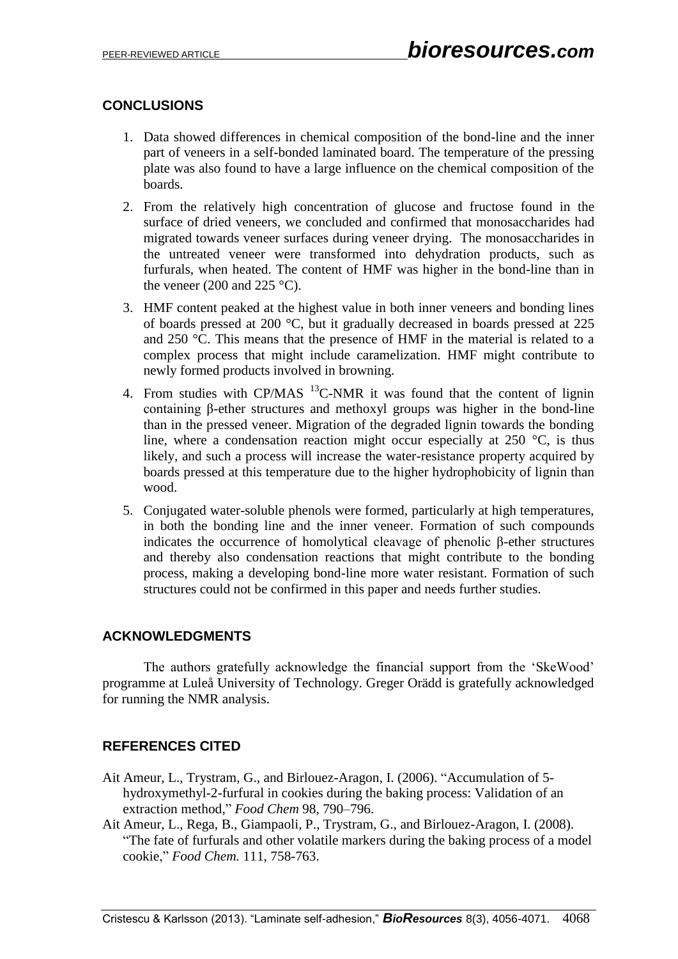# **CONCLUSIONS**

- 1. Data showed differences in chemical composition of the bond-line and the inner part of veneers in a self-bonded laminated board. The temperature of the pressing plate was also found to have a large influence on the chemical composition of the boards.
- 2. From the relatively high concentration of glucose and fructose found in the surface of dried veneers, we concluded and confirmed that monosaccharides had migrated towards veneer surfaces during veneer drying. The monosaccharides in the untreated veneer were transformed into dehydration products, such as furfurals, when heated. The content of HMF was higher in the bond-line than in the veneer (200 and 225  $^{\circ}$ C).
- 3. HMF content peaked at the highest value in both inner veneers and bonding lines of boards pressed at 200 °C, but it gradually decreased in boards pressed at 225 and 250 °C. This means that the presence of HMF in the material is related to a complex process that might include caramelization. HMF might contribute to newly formed products involved in browning.
- 4. From studies with CP/MAS  $^{13}$ C-NMR it was found that the content of lignin containing β-ether structures and methoxyl groups was higher in the bond-line than in the pressed veneer. Migration of the degraded lignin towards the bonding line, where a condensation reaction might occur especially at 250 °C, is thus likely, and such a process will increase the water-resistance property acquired by boards pressed at this temperature due to the higher hydrophobicity of lignin than wood.
- 5. Conjugated water-soluble phenols were formed, particularly at high temperatures, in both the bonding line and the inner veneer. Formation of such compounds indicates the occurrence of homolytical cleavage of phenolic β-ether structures and thereby also condensation reactions that might contribute to the bonding process, making a developing bond-line more water resistant. Formation of such structures could not be confirmed in this paper and needs further studies.

# **ACKNOWLEDGMENTS**

The authors gratefully acknowledge the financial support from the 'SkeWood' programme at Luleå University of Technology. Greger Orädd is gratefully acknowledged for running the NMR analysis.

# **REFERENCES CITED**

- Ait Ameur, L., Trystram, G., and Birlouez-Aragon, I. (2006). "Accumulation of 5 hydroxymethyl-2-furfural in cookies during the baking process: Validation of an extraction method," *Food Chem* 98, 790–796.
- Ait Ameur, L., Rega, B., Giampaoli, P., Trystram, G., and Birlouez-Aragon, I. (2008). "The fate of furfurals and other volatile markers during the baking process of a model cookie," *Food Chem.* 111, 758-763.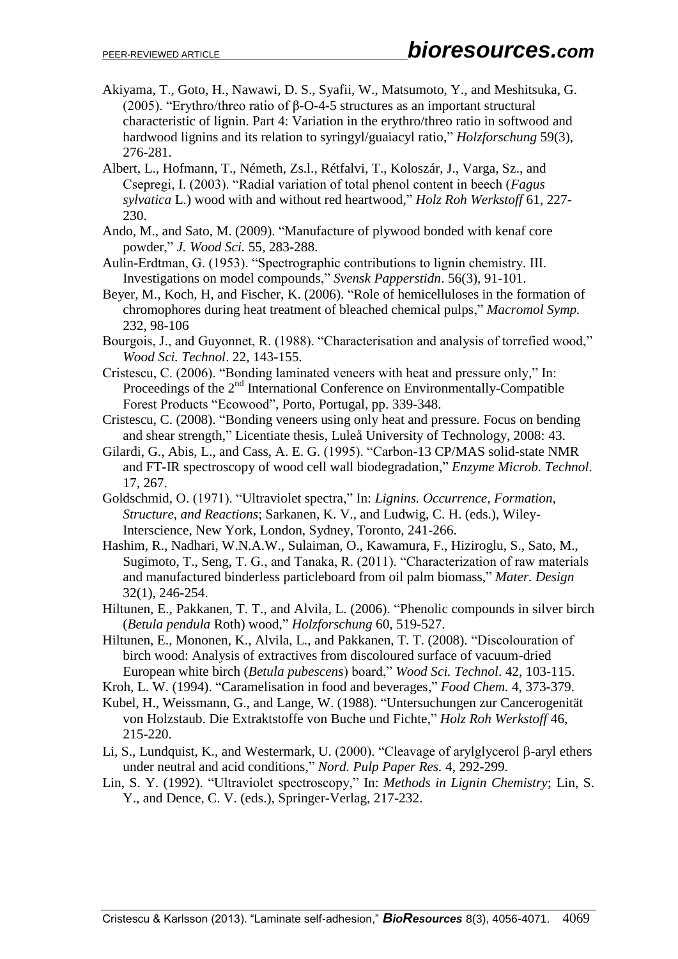- Akiyama, T., Goto, H., Nawawi, D. S., Syafii, W., Matsumoto, Y., and Meshitsuka, G. (2005). "Erythro/threo ratio of β-O-4-5 structures as an important structural characteristic of lignin. Part 4: Variation in the erythro/threo ratio in softwood and hardwood lignins and its relation to syringyl/guaiacyl ratio," *Holzforschung* 59(3), 276-281.
- Albert, L., Hofmann, T., Németh, Zs.l., Rétfalvi, T., Koloszár, J., Varga, Sz., and Csepregi, I. (2003). "Radial variation of total phenol content in beech (*Fagus sylvatica* L.) wood with and without red heartwood," *Holz Roh Werkstoff* 61, 227- 230.
- Ando, M., and Sato, M. (2009). "Manufacture of plywood bonded with kenaf core powder," *J. Wood Sci.* 55, 283-288.
- Aulin-Erdtman, G. (1953). "Spectrographic contributions to lignin chemistry. III. Investigations on model compounds," *Svensk Papperstidn*. 56(3), 91-101.
- Beyer, M., Koch, H, and Fischer, K. (2006). "Role of hemicelluloses in the formation of chromophores during heat treatment of bleached chemical pulps," *Macromol Symp.* 232, 98-106
- Bourgois, J., and Guyonnet, R. (1988). "Characterisation and analysis of torrefied wood," *Wood Sci. Technol*. 22, 143-155.
- Cristescu, C. (2006). "Bonding laminated veneers with heat and pressure only," In: Proceedings of the 2<sup>nd</sup> International Conference on Environmentally-Compatible Forest Products "Ecowood", Porto, Portugal, pp. 339-348.
- Cristescu, C. (2008). "Bonding veneers using only heat and pressure. Focus on bending and shear strength," Licentiate thesis, Luleå University of Technology, 2008: 43.
- Gilardi, G., Abis, L., and Cass, A. E. G. (1995). "Carbon-13 CP/MAS solid-state NMR and FT-IR spectroscopy of wood cell wall biodegradation," *Enzyme Microb. Technol*. 17, 267.
- Goldschmid, O. (1971). "Ultraviolet spectra," In: *Lignins. Occurrence, Formation, Structure, and Reactions*; Sarkanen, K. V., and Ludwig, C. H. (eds.), Wiley-Interscience, New York, London, Sydney, Toronto, 241-266.
- Hashim, R., Nadhari, W.N.A.W., Sulaiman, O., Kawamura, F., Hiziroglu, S., Sato, M., Sugimoto, T., Seng, T. G., and Tanaka, R. (2011). "Characterization of raw materials and manufactured binderless particleboard from oil palm biomass," *Mater. Design*  32(1), 246-254.
- Hiltunen, E., Pakkanen, T. T., and Alvila, L. (2006). "Phenolic compounds in silver birch (*Betula pendula* Roth) wood," *Holzforschung* 60, 519-527.
- Hiltunen, E., Mononen, K., Alvila, L., and Pakkanen, T. T. (2008). "Discolouration of birch wood: Analysis of extractives from discoloured surface of vacuum-dried European white birch (*Betula pubescens*) board," *Wood Sci. Technol*. 42, 103-115.
- Kroh, L. W. (1994). "Caramelisation in food and beverages," *Food Chem.* 4, 373-379.
- Kubel, H., Weissmann, G., and Lange, W. (1988). "Untersuchungen zur Cancerogenität von Holzstaub. Die Extraktstoffe von Buche und Fichte," *Holz Roh Werkstoff* 46, 215-220.
- Li, S., Lundquist, K., and Westermark, U. (2000). "Cleavage of arylglycerol  $\beta$ -aryl ethers under neutral and acid conditions," *Nord. Pulp Paper Res.* 4, 292-299.
- Lin, S. Y. (1992). "Ultraviolet spectroscopy," In: *Methods in Lignin Chemistry*; Lin, S. Y., and Dence, C. V. (eds.), Springer-Verlag, 217-232.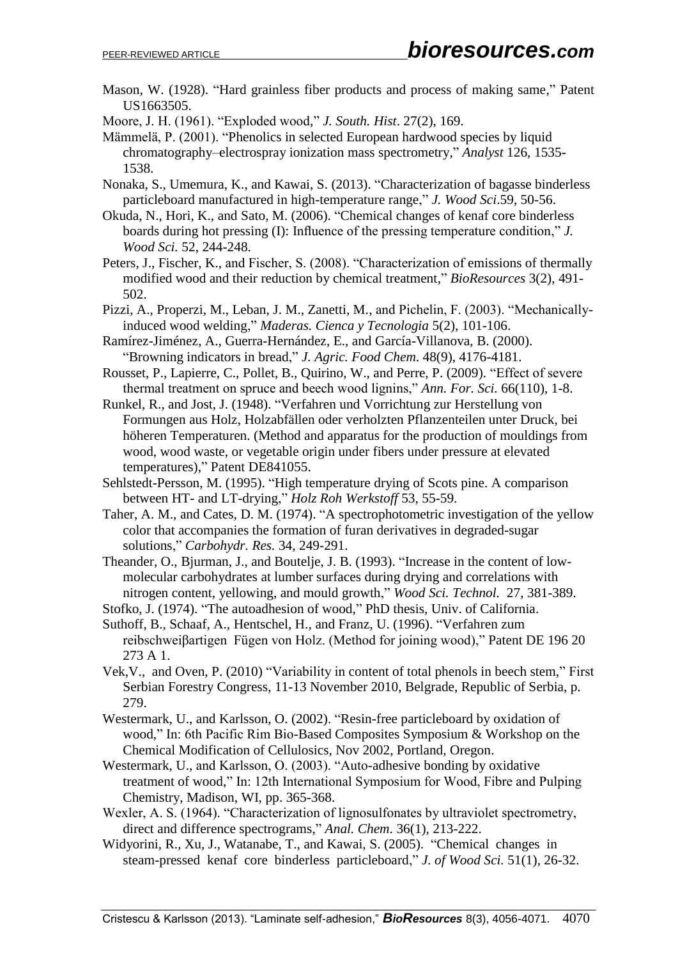Mason, W. (1928). "Hard grainless fiber products and process of making same," Patent US1663505.

Moore, J. H. (1961). "Exploded wood," *J. South. Hist*. 27(2), 169.

Mämmelä, P. (2001). "Phenolics in selected European hardwood species by liquid chromatography–electrospray ionization mass spectrometry," *Analyst* 126, 1535- 1538.

- Nonaka, S., Umemura, K., and Kawai, S. (2013). "Characterization of bagasse binderless particleboard manufactured in high-temperature range," *J. Wood Sci*.59, 50-56.
- Okuda, N., Hori, K., and Sato, M. (2006). "Chemical changes of kenaf core binderless boards during hot pressing (I): Influence of the pressing temperature condition," *J. Wood Sci.* 52, 244-248.
- Peters, J., Fischer, K., and Fischer, S. (2008). "Characterization of emissions of thermally modified wood and their reduction by chemical treatment," *BioResources* 3(2), 491- 502.
- Pizzi, A., Properzi, M., Leban, J. M., Zanetti, M., and Pichelin, F. (2003). "Mechanicallyinduced wood welding," *Maderas. Cienca y Tecnologia* 5(2), 101-106.
- Ramírez-Jiménez, A., Guerra-Hernández, E., and García-Villanova, B. (2000). "Browning indicators in bread," *J. Agric. Food Chem*. 48(9), 4176-4181.
- Rousset, P., Lapierre, C., Pollet, B., Quirino, W., and Perre, P. (2009). "Effect of severe thermal treatment on spruce and beech wood lignins," *Ann. For. Sci.* 66(110), 1-8.
- Runkel, R., and Jost, J. (1948). "Verfahren und Vorrichtung zur Herstellung von Formungen aus Holz, Holzabfällen oder verholzten Pflanzenteilen unter Druck, bei höheren Temperaturen. (Method and apparatus for the production of mouldings from wood, wood waste, or vegetable origin under fibers under pressure at elevated temperatures)," Patent DE841055.
- Sehlstedt-Persson, M. (1995). "High temperature drying of Scots pine. A comparison between HT- and LT-drying," *Holz Roh Werkstoff* 53, 55-59.
- Taher, A. M., and Cates, D. M. (1974). "A spectrophotometric investigation of the yellow color that accompanies the formation of furan derivatives in degraded-sugar solutions," *Carbohydr. Res.* 34, 249-291.

Theander, O., Bjurman, J., and Boutelje, J. B. (1993). "Increase in the content of lowmolecular carbohydrates at lumber surfaces during drying and correlations with nitrogen content, yellowing, and mould growth," *Wood Sci. Technol.* 27, 381-389.

- Stofko, J. (1974). "The autoadhesion of wood," PhD thesis, Univ. of California. Suthoff, B., Schaaf, A., Hentschel, H., and Franz, U. (1996). "Verfahren zum reibschweiβartigen Fügen von Holz. (Method for joining wood)," Patent DE 196 20 273 A 1.
- Vek,V., and Oven, P. (2010) "Variability in content of total phenols in beech stem," First Serbian Forestry Congress, 11-13 November 2010, Belgrade, Republic of Serbia, p. 279.
- Westermark, U., and Karlsson, O. (2002). "Resin-free particleboard by oxidation of wood," In: 6th Pacific Rim Bio-Based Composites Symposium & Workshop on the Chemical Modification of Cellulosics, Nov 2002, Portland, Oregon.
- Westermark, U., and Karlsson, O. (2003). "Auto-adhesive bonding by oxidative treatment of wood," In: 12th International Symposium for Wood, Fibre and Pulping Chemistry, Madison, WI, pp. 365-368.
- Wexler, A. S. (1964). "Characterization of lignosulfonates by ultraviolet spectrometry, direct and difference spectrograms," *Anal. Chem*. 36(1), 213-222.
- Widyorini, R., Xu, J., Watanabe, T., and Kawai, S. (2005). "Chemical changes in steam-pressed kenaf core binderless particleboard," *J. of Wood Sci.* 51(1), 26-32.